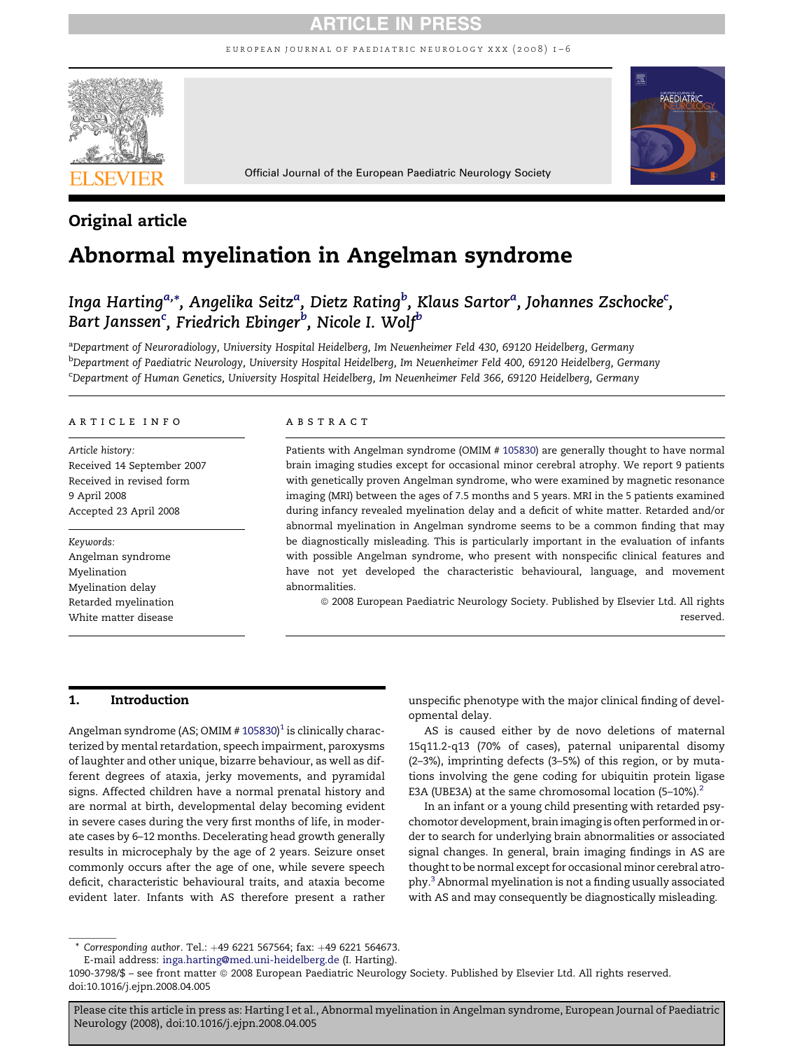# ARTICLE IN PRESS

european journal of paediatric neurology xxx (2008) 1–6



# Original article

# Abnormal myelination in Angelman syndrome

# Inga Harting<sup>a,</sup>\*, Angelika Seitz<sup>a</sup>, Dietz Rating<sup>b</sup>, Klaus Sartor<sup>a</sup>, Johannes Zschocke<sup>c</sup>, Bart Janssen $^{\mathrm{c}}$ , Friedrich Ebinger $^{\mathrm{b}}$ , Nicole I. Wolf $^{\mathrm{b}}$

<sup>a</sup>Department of Neuroradiology, University Hospital Heidelberg, Im Neuenheimer Feld 430, 69120 Heidelberg, Germany <sup>b</sup>Department of Paediatric Neurology, University Hospital Heidelberg, Im Neuenheimer Feld 400, 69120 Heidelberg, Germany c Department of Human Genetics, University Hospital Heidelberg, Im Neuenheimer Feld 366, 69120 Heidelberg, Germany

#### article info

Article history: Received 14 September 2007 Received in revised form 9 April 2008 Accepted 23 April 2008

#### Keywords:

Angelman syndrome Myelination Myelination delay Retarded myelination White matter disease

#### **ABSTRACT**

Patients with Angelman syndrome (OMIM # [105830\)](omim:105830) are generally thought to have normal brain imaging studies except for occasional minor cerebral atrophy. We report 9 patients with genetically proven Angelman syndrome, who were examined by magnetic resonance imaging (MRI) between the ages of 7.5 months and 5 years. MRI in the 5 patients examined during infancy revealed myelination delay and a deficit of white matter. Retarded and/or abnormal myelination in Angelman syndrome seems to be a common finding that may be diagnostically misleading. This is particularly important in the evaluation of infants with possible Angelman syndrome, who present with nonspecific clinical features and have not yet developed the characteristic behavioural, language, and movement abnormalities.

ª 2008 European Paediatric Neurology Society. Published by Elsevier Ltd. All rights reserved.

# 1. Introduction

Angelman syndrome (AS; OMIM # [105830](omim:105830))<sup>[1](#page-4-0)</sup> is clinically characterized by mental retardation, speech impairment, paroxysms of laughter and other unique, bizarre behaviour, as well as different degrees of ataxia, jerky movements, and pyramidal signs. Affected children have a normal prenatal history and are normal at birth, developmental delay becoming evident in severe cases during the very first months of life, in moderate cases by 6–12 months. Decelerating head growth generally results in microcephaly by the age of 2 years. Seizure onset commonly occurs after the age of one, while severe speech deficit, characteristic behavioural traits, and ataxia become evident later. Infants with AS therefore present a rather

unspecific phenotype with the major clinical finding of developmental delay.

AS is caused either by de novo deletions of maternal 15q11.2-q13 (70% of cases), paternal uniparental disomy (2–3%), imprinting defects (3–5%) of this region, or by mutations involving the gene coding for ubiquitin protein ligase E3A (UBE3A) at the same chromosomal location (5-10%).<sup>[2](#page-4-0)</sup>

In an infant or a young child presenting with retarded psychomotor development, brain imaging is often performed in order to search for underlying brain abnormalities or associated signal changes. In general, brain imaging findings in AS are thought to be normal except for occasional minor cerebral atrophy.[3](#page-4-0) Abnormal myelination is not a finding usually associated with AS and may consequently be diagnostically misleading.

 $*$  Corresponding author. Tel.:  $+49$  6221 567564; fax:  $+49$  6221 564673.

E-mail address: [inga.harting@med.uni-heidelberg.de](mailto:inga.harting@med.uni-heidelberg.de) (I. Harting).

<sup>1090-3798/\$ –</sup> see front matter ª 2008 European Paediatric Neurology Society. Published by Elsevier Ltd. All rights reserved. doi:10.1016/j.ejpn.2008.04.005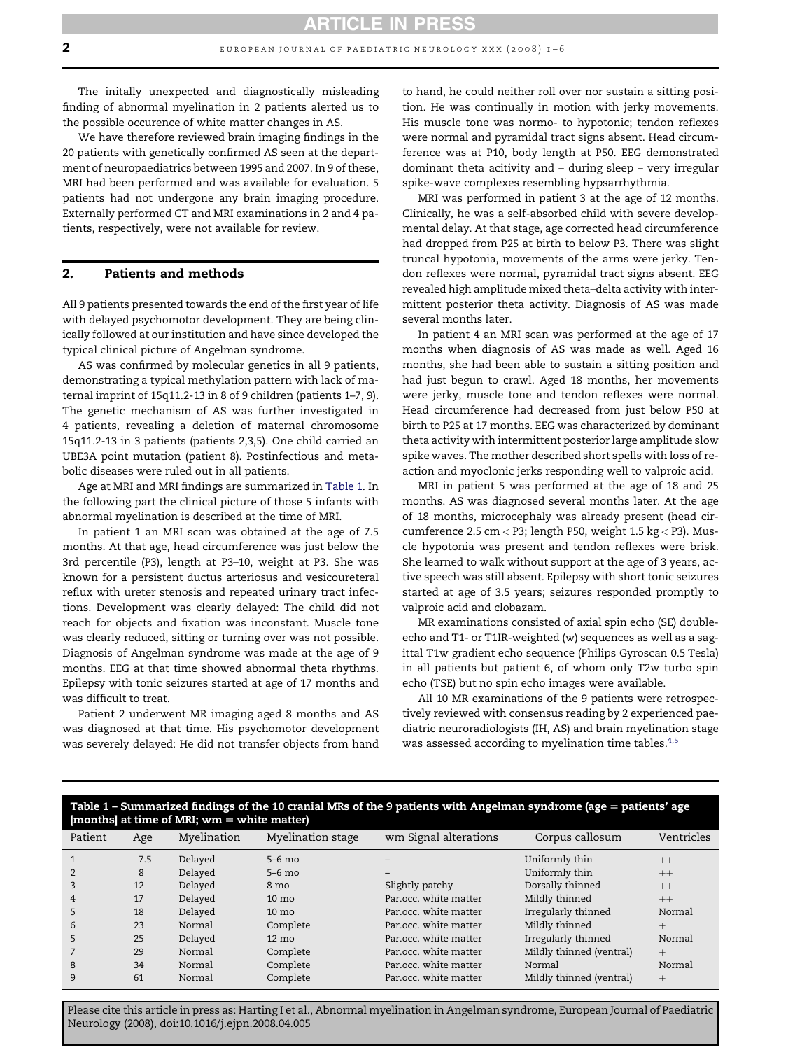<span id="page-1-0"></span>The initally unexpected and diagnostically misleading finding of abnormal myelination in 2 patients alerted us to

We have therefore reviewed brain imaging findings in the 20 patients with genetically confirmed AS seen at the department of neuropaediatrics between 1995 and 2007. In 9 of these, MRI had been performed and was available for evaluation. 5 patients had not undergone any brain imaging procedure. Externally performed CT and MRI examinations in 2 and 4 patients, respectively, were not available for review.

the possible occurence of white matter changes in AS.

## 2. Patients and methods

All 9 patients presented towards the end of the first year of life with delayed psychomotor development. They are being clinically followed at our institution and have since developed the typical clinical picture of Angelman syndrome.

AS was confirmed by molecular genetics in all 9 patients, demonstrating a typical methylation pattern with lack of maternal imprint of 15q11.2-13 in 8 of 9 children (patients 1–7, 9). The genetic mechanism of AS was further investigated in 4 patients, revealing a deletion of maternal chromosome 15q11.2-13 in 3 patients (patients 2,3,5). One child carried an UBE3A point mutation (patient 8). Postinfectious and metabolic diseases were ruled out in all patients.

Age at MRI and MRI findings are summarized in Table 1. In the following part the clinical picture of those 5 infants with abnormal myelination is described at the time of MRI.

In patient 1 an MRI scan was obtained at the age of 7.5 months. At that age, head circumference was just below the 3rd percentile (P3), length at P3–10, weight at P3. She was known for a persistent ductus arteriosus and vesicoureteral reflux with ureter stenosis and repeated urinary tract infections. Development was clearly delayed: The child did not reach for objects and fixation was inconstant. Muscle tone was clearly reduced, sitting or turning over was not possible. Diagnosis of Angelman syndrome was made at the age of 9 months. EEG at that time showed abnormal theta rhythms. Epilepsy with tonic seizures started at age of 17 months and was difficult to treat.

Patient 2 underwent MR imaging aged 8 months and AS was diagnosed at that time. His psychomotor development was severely delayed: He did not transfer objects from hand to hand, he could neither roll over nor sustain a sitting position. He was continually in motion with jerky movements. His muscle tone was normo- to hypotonic; tendon reflexes were normal and pyramidal tract signs absent. Head circumference was at P10, body length at P50. EEG demonstrated dominant theta acitivity and – during sleep – very irregular spike-wave complexes resembling hypsarrhythmia.

MRI was performed in patient 3 at the age of 12 months. Clinically, he was a self-absorbed child with severe developmental delay. At that stage, age corrected head circumference had dropped from P25 at birth to below P3. There was slight truncal hypotonia, movements of the arms were jerky. Tendon reflexes were normal, pyramidal tract signs absent. EEG revealed high amplitude mixed theta–delta activity with intermittent posterior theta activity. Diagnosis of AS was made several months later.

In patient 4 an MRI scan was performed at the age of 17 months when diagnosis of AS was made as well. Aged 16 months, she had been able to sustain a sitting position and had just begun to crawl. Aged 18 months, her movements were jerky, muscle tone and tendon reflexes were normal. Head circumference had decreased from just below P50 at birth to P25 at 17 months. EEG was characterized by dominant theta activity with intermittent posterior large amplitude slow spike waves. The mother described short spells with loss of reaction and myoclonic jerks responding well to valproic acid.

MRI in patient 5 was performed at the age of 18 and 25 months. AS was diagnosed several months later. At the age of 18 months, microcephaly was already present (head circumference 2.5 cm < P3; length P50, weight 1.5 kg < P3). Muscle hypotonia was present and tendon reflexes were brisk. She learned to walk without support at the age of 3 years, active speech was still absent. Epilepsy with short tonic seizures started at age of 3.5 years; seizures responded promptly to valproic acid and clobazam.

MR examinations consisted of axial spin echo (SE) doubleecho and T1- or T1IR-weighted (w) sequences as well as a sagittal T1w gradient echo sequence (Philips Gyroscan 0.5 Tesla) in all patients but patient 6, of whom only T2w turbo spin echo (TSE) but no spin echo images were available.

All 10 MR examinations of the 9 patients were retrospectively reviewed with consensus reading by 2 experienced paediatric neuroradiologists (IH, AS) and brain myelination stage was assessed according to myelination time tables.<sup>[4,5](#page-4-0)</sup>

# Table 1 – Summarized findings of the 10 cranial MRs of the 9 patients with Angelman syndrome (age  $=$  patients' age  $[$ months $]$  at time of MRI; wm  $=$  white matter)

| Patient        | Age | Myelination | Myelination stage | wm Signal alterations | Corpus callosum          | Ventricles |
|----------------|-----|-------------|-------------------|-----------------------|--------------------------|------------|
|                | 7.5 | Delayed     | $5-6$ mo          |                       | Uniformly thin           | $++$       |
|                | 8   | Delayed     | $5-6$ mo          | -                     | Uniformly thin           | $++$       |
| 3              | 12  | Delayed     | 8 <sub>mo</sub>   | Slightly patchy       | Dorsally thinned         | $++$       |
| $\overline{4}$ | 17  | Delayed     | $10 \text{ mo}$   | Par.occ. white matter | Mildly thinned           | $++$       |
| 5              | 18  | Delayed     | $10 \text{ mo}$   | Par.occ. white matter | Irregularly thinned      | Normal     |
| 6              | 23  | Normal      | Complete          | Par.occ. white matter | Mildly thinned           | $^{+}$     |
| 5              | 25  | Delayed     | $12 \text{ mo}$   | Par.occ. white matter | Irregularly thinned      | Normal     |
|                | 29  | Normal      | Complete          | Par.occ. white matter | Mildly thinned (ventral) | $^{+}$     |
| $\mathsf{R}$   | 34  | Normal      | Complete          | Par.occ. white matter | Normal                   | Normal     |
| $\mathsf{q}$   | 61  | Normal      | Complete          | Par.occ. white matter | Mildly thinned (ventral) | $^{+}$     |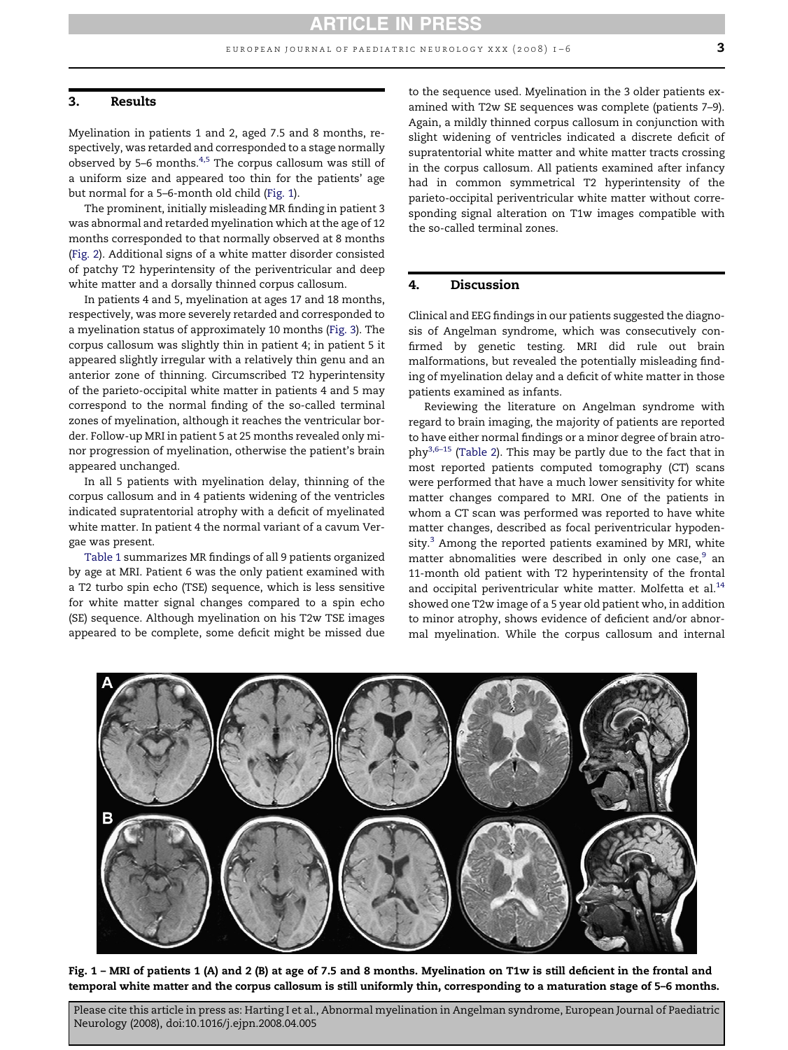#### 3. Results

Myelination in patients 1 and 2, aged 7.5 and 8 months, respectively, was retarded and corresponded to a stage normally observed by 5–6 months[.4,5](#page-4-0) The corpus callosum was still of a uniform size and appeared too thin for the patients' age but normal for a 5–6-month old child (Fig. 1).

The prominent, initially misleading MR finding in patient 3 was abnormal and retarded myelination which at the age of 12 months corresponded to that normally observed at 8 months [\(Fig. 2\)](#page-3-0). Additional signs of a white matter disorder consisted of patchy T2 hyperintensity of the periventricular and deep white matter and a dorsally thinned corpus callosum.

In patients 4 and 5, myelination at ages 17 and 18 months, respectively, was more severely retarded and corresponded to a myelination status of approximately 10 months ([Fig. 3](#page-3-0)). The corpus callosum was slightly thin in patient 4; in patient 5 it appeared slightly irregular with a relatively thin genu and an anterior zone of thinning. Circumscribed T2 hyperintensity of the parieto-occipital white matter in patients 4 and 5 may correspond to the normal finding of the so-called terminal zones of myelination, although it reaches the ventricular border. Follow-up MRI in patient 5 at 25 months revealed only minor progression of myelination, otherwise the patient's brain appeared unchanged.

In all 5 patients with myelination delay, thinning of the corpus callosum and in 4 patients widening of the ventricles indicated supratentorial atrophy with a deficit of myelinated white matter. In patient 4 the normal variant of a cavum Vergae was present.

[Table 1](#page-1-0) summarizes MR findings of all 9 patients organized by age at MRI. Patient 6 was the only patient examined with a T2 turbo spin echo (TSE) sequence, which is less sensitive for white matter signal changes compared to a spin echo (SE) sequence. Although myelination on his T2w TSE images appeared to be complete, some deficit might be missed due

to the sequence used. Myelination in the 3 older patients examined with T2w SE sequences was complete (patients 7–9). Again, a mildly thinned corpus callosum in conjunction with slight widening of ventricles indicated a discrete deficit of supratentorial white matter and white matter tracts crossing in the corpus callosum. All patients examined after infancy had in common symmetrical T2 hyperintensity of the parieto-occipital periventricular white matter without corresponding signal alteration on T1w images compatible with the so-called terminal zones.

## 4. Discussion

Clinical and EEG findings in our patients suggested the diagnosis of Angelman syndrome, which was consecutively confirmed by genetic testing. MRI did rule out brain malformations, but revealed the potentially misleading finding of myelination delay and a deficit of white matter in those patients examined as infants.

Reviewing the literature on Angelman syndrome with regard to brain imaging, the majority of patients are reported to have either normal findings or a minor degree of brain atrophy[3,6–15](#page-4-0) ([Table 2](#page-4-0)). This may be partly due to the fact that in most reported patients computed tomography (CT) scans were performed that have a much lower sensitivity for white matter changes compared to MRI. One of the patients in whom a CT scan was performed was reported to have white matter changes, described as focal periventricular hypodensity. $3$  Among the reported patients examined by MRI, white matter abnomalities were described in only one case, $9$  an 11-month old patient with T2 hyperintensity of the frontal and occipital periventricular white matter. Molfetta et al.<sup>14</sup> showed one T2w image of a 5 year old patient who, in addition to minor atrophy, shows evidence of deficient and/or abnormal myelination. While the corpus callosum and internal



Fig. 1 – MRI of patients 1 (A) and 2 (B) at age of 7.5 and 8 months. Myelination on T1w is still deficient in the frontal and temporal white matter and the corpus callosum is still uniformly thin, corresponding to a maturation stage of 5–6 months.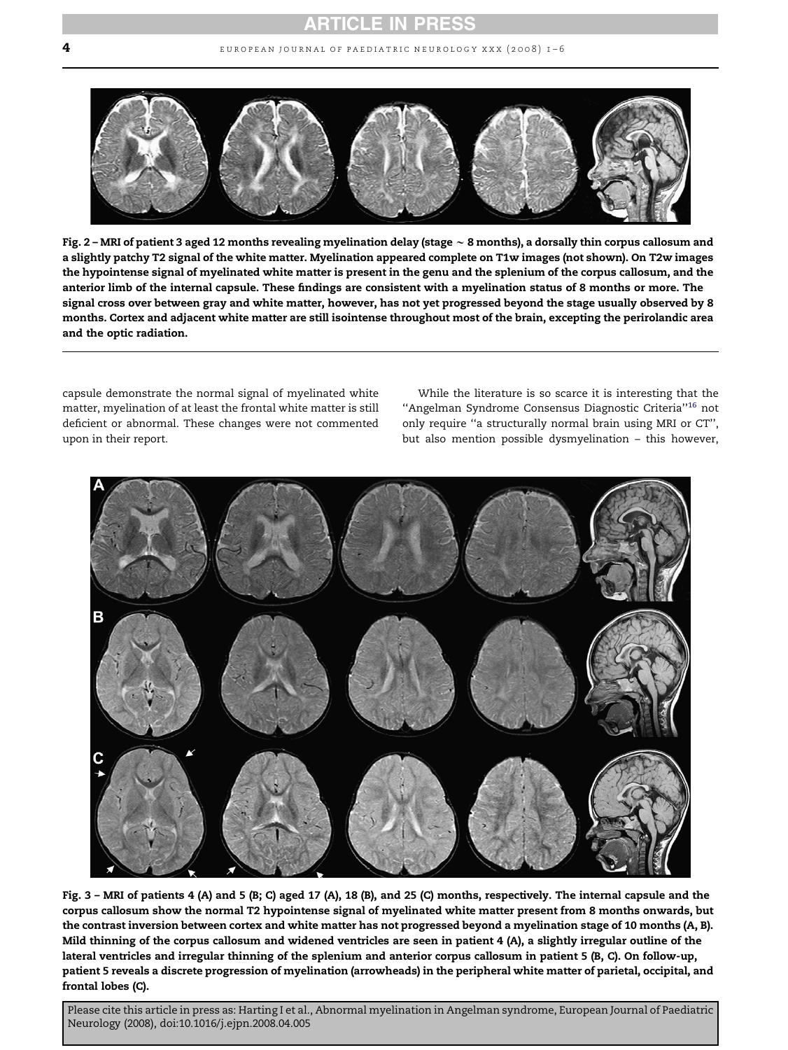<span id="page-3-0"></span>

Fig. 2 – MRI of patient 3 aged 12 months revealing myelination delay (stage  $\sim$  8 months), a dorsally thin corpus callosum and a slightly patchy T2 signal of the white matter. Myelination appeared complete on T1w images (not shown). On T2w images the hypointense signal of myelinated white matter is present in the genu and the splenium of the corpus callosum, and the anterior limb of the internal capsule. These findings are consistent with a myelination status of 8 months or more. The signal cross over between gray and white matter, however, has not yet progressed beyond the stage usually observed by 8 months. Cortex and adjacent white matter are still isointense throughout most of the brain, excepting the perirolandic area and the optic radiation.

capsule demonstrate the normal signal of myelinated white matter, myelination of at least the frontal white matter is still deficient or abnormal. These changes were not commented upon in their report.

While the literature is so scarce it is interesting that the ''Angelman Syndrome Consensus Diagnostic Criteria'['16](#page-5-0) not only require ''a structurally normal brain using MRI or CT'', but also mention possible dysmyelination – this however,



Fig. 3 – MRI of patients 4 (A) and 5 (B; C) aged 17 (A), 18 (B), and 25 (C) months, respectively. The internal capsule and the corpus callosum show the normal T2 hypointense signal of myelinated white matter present from 8 months onwards, but the contrast inversion between cortex and white matter has not progressed beyond a myelination stage of 10 months (A, B). Mild thinning of the corpus callosum and widened ventricles are seen in patient 4 (A), a slightly irregular outline of the lateral ventricles and irregular thinning of the splenium and anterior corpus callosum in patient 5 (B, C). On follow-up, patient 5 reveals a discrete progression of myelination (arrowheads) in the peripheral white matter of parietal, occipital, and frontal lobes (C).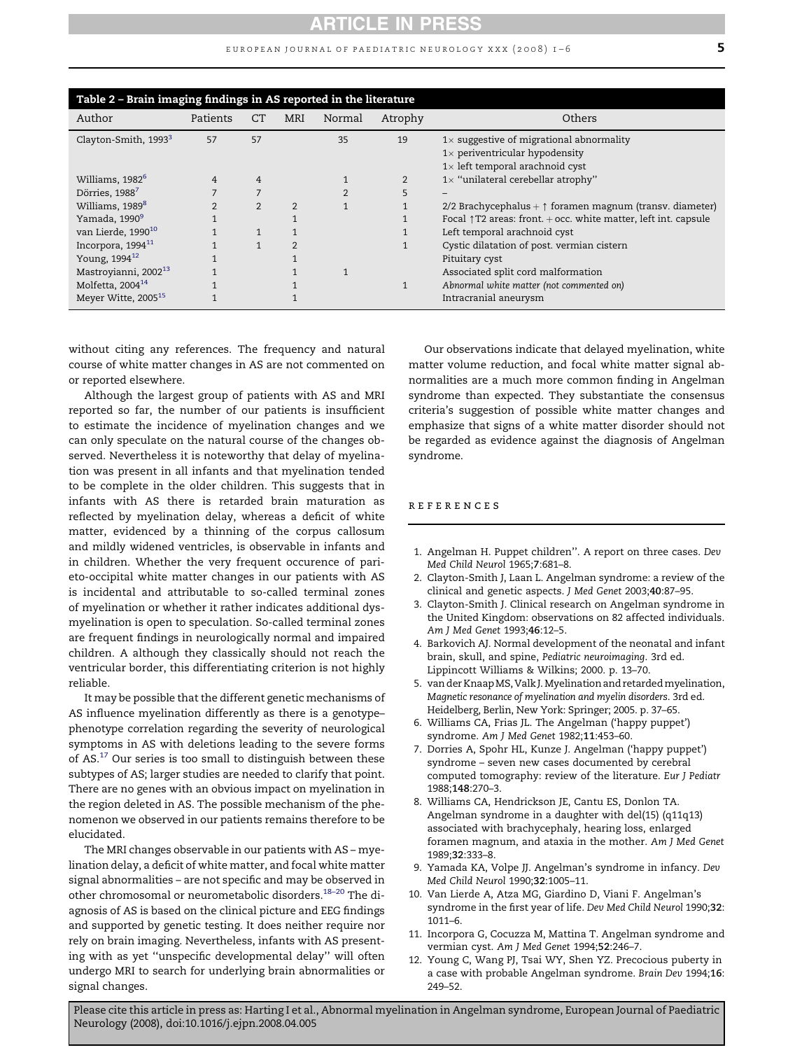### EUROPEAN JOURNAL OF PAEDIATRIC NEUROLOGY XXX (2008)  $1-6$  5

<span id="page-4-0"></span>

| Table 2 – Brain imaging findings in AS reported in the literature |                |                |                |        |         |                                                                                                                                    |  |  |  |
|-------------------------------------------------------------------|----------------|----------------|----------------|--------|---------|------------------------------------------------------------------------------------------------------------------------------------|--|--|--|
| Author                                                            | Patients       | CT             | MRI            | Normal | Atrophy | Others                                                                                                                             |  |  |  |
| Clayton-Smith, 1993 <sup>3</sup>                                  | 57             | 57             |                | 35     | 19      | $1\times$ suggestive of migrational abnormality<br>$1\times$ periventricular hypodensity<br>$1\times$ left temporal arachnoid cyst |  |  |  |
| Williams, 1982 <sup>6</sup>                                       | 4              | 4              |                |        | 2       | $1\times$ "unilateral cerebellar atrophy"                                                                                          |  |  |  |
| Dörries, 1988                                                     |                |                |                |        | 5       |                                                                                                                                    |  |  |  |
| Williams, 1989 <sup>8</sup>                                       | $\overline{2}$ | $\overline{2}$ | $\mathfrak{D}$ |        |         | 2/2 Brachycephalus + $\uparrow$ foramen magnum (transv. diameter)                                                                  |  |  |  |
| Yamada, 1990 <sup>9</sup>                                         |                |                |                |        |         | Focal $\uparrow$ T2 areas: front. + occ. white matter, left int. capsule                                                           |  |  |  |
| van Lierde, 1990 <sup>10</sup>                                    |                |                |                |        |         | Left temporal arachnoid cyst                                                                                                       |  |  |  |
| Incorpora, 1994 <sup>11</sup>                                     |                | $\mathbf{1}$   | $\overline{2}$ |        |         | Cystic dilatation of post. vermian cistern                                                                                         |  |  |  |
| Young, 1994 <sup>12</sup>                                         |                |                |                |        |         | Pituitary cyst                                                                                                                     |  |  |  |
| Mastroyianni, 2002 <sup>13</sup>                                  |                |                |                |        |         | Associated split cord malformation                                                                                                 |  |  |  |
| Molfetta, $2004^{14}$                                             |                |                |                |        |         | Abnormal white matter (not commented on)                                                                                           |  |  |  |
| Meyer Witte, 2005 <sup>15</sup>                                   |                |                |                |        |         | Intracranial aneurysm                                                                                                              |  |  |  |

without citing any references. The frequency and natural course of white matter changes in AS are not commented on or reported elsewhere.

Although the largest group of patients with AS and MRI reported so far, the number of our patients is insufficient to estimate the incidence of myelination changes and we can only speculate on the natural course of the changes observed. Nevertheless it is noteworthy that delay of myelination was present in all infants and that myelination tended to be complete in the older children. This suggests that in infants with AS there is retarded brain maturation as reflected by myelination delay, whereas a deficit of white matter, evidenced by a thinning of the corpus callosum and mildly widened ventricles, is observable in infants and in children. Whether the very frequent occurence of parieto-occipital white matter changes in our patients with AS is incidental and attributable to so-called terminal zones of myelination or whether it rather indicates additional dysmyelination is open to speculation. So-called terminal zones are frequent findings in neurologically normal and impaired children. A although they classically should not reach the ventricular border, this differentiating criterion is not highly reliable.

It may be possible that the different genetic mechanisms of AS influence myelination differently as there is a genotype– phenotype correlation regarding the severity of neurological symptoms in AS with deletions leading to the severe forms of  $AS<sup>17</sup>$  Our series is too small to distinguish between these subtypes of AS; larger studies are needed to clarify that point. There are no genes with an obvious impact on myelination in the region deleted in AS. The possible mechanism of the phenomenon we observed in our patients remains therefore to be elucidated.

The MRI changes observable in our patients with AS – myelination delay, a deficit of white matter, and focal white matter signal abnormalities – are not specific and may be observed in other chromosomal or neurometabolic disorders[.18–20](#page-5-0) The diagnosis of AS is based on the clinical picture and EEG findings and supported by genetic testing. It does neither require nor rely on brain imaging. Nevertheless, infants with AS presenting with as yet ''unspecific developmental delay'' will often undergo MRI to search for underlying brain abnormalities or signal changes.

Our observations indicate that delayed myelination, white matter volume reduction, and focal white matter signal abnormalities are a much more common finding in Angelman syndrome than expected. They substantiate the consensus criteria's suggestion of possible white matter changes and emphasize that signs of a white matter disorder should not be regarded as evidence against the diagnosis of Angelman syndrome.

## references

- 1. Angelman H. Puppet children''. A report on three cases. Dev Med Child Neurol 1965;7:681–8.
- 2. Clayton-Smith J, Laan L. Angelman syndrome: a review of the clinical and genetic aspects. J Med Genet 2003;40:87–95.
- 3. Clayton-Smith J. Clinical research on Angelman syndrome in the United Kingdom: observations on 82 affected individuals. Am J Med Genet 1993;46:12–5.
- 4. Barkovich AJ. Normal development of the neonatal and infant brain, skull, and spine, Pediatric neuroimaging. 3rd ed. Lippincott Williams & Wilkins; 2000. p. 13–70.
- 5. van der Knaap MS, Valk J. Myelination and retarded myelination, Magnetic resonance of myelination and myelin disorders. 3rd ed. Heidelberg, Berlin, New York: Springer; 2005. p. 37–65.
- 6. Williams CA, Frias JL. The Angelman ('happy puppet') syndrome. Am J Med Genet 1982;11:453–60.
- 7. Dorries A, Spohr HL, Kunze J. Angelman ('happy puppet') syndrome – seven new cases documented by cerebral computed tomography: review of the literature. Eur J Pediatr 1988;148:270–3.
- 8. Williams CA, Hendrickson JE, Cantu ES, Donlon TA. Angelman syndrome in a daughter with del(15) (q11q13) associated with brachycephaly, hearing loss, enlarged foramen magnum, and ataxia in the mother. Am J Med Genet 1989;32:333–8.
- 9. Yamada KA, Volpe JJ. Angelman's syndrome in infancy. Dev Med Child Neurol 1990;32:1005–11.
- 10. Van Lierde A, Atza MG, Giardino D, Viani F. Angelman's syndrome in the first year of life. Dev Med Child Neurol 1990;32: 1011–6.
- 11. Incorpora G, Cocuzza M, Mattina T. Angelman syndrome and vermian cyst. Am J Med Genet 1994;52:246–7.
- 12. Young C, Wang PJ, Tsai WY, Shen YZ. Precocious puberty in a case with probable Angelman syndrome. Brain Dev 1994;16: 249–52.